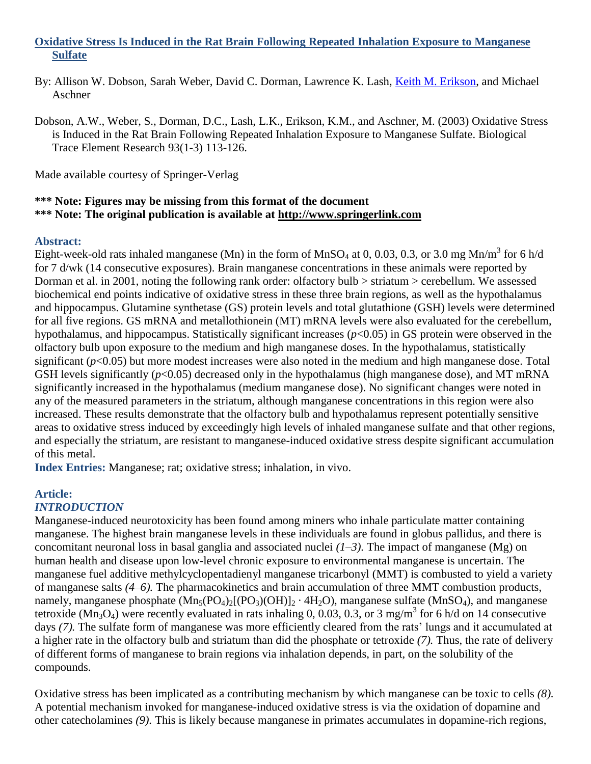## **Oxidative Stress Is Induced in the Rat Brain Following Repeated Inhalation Exposure to Manganese Sulfate**

- By: Allison W. Dobson, Sarah Weber, David C. Dorman, Lawrence K. Lash, [Keith M. Erikson,](http://libres.uncg.edu/ir/uncg/clist.aspx?id=1296) and Michael Aschner
- Dobson, A.W., Weber, S., Dorman, D.C., Lash, L.K., Erikson, K.M., and Aschner, M. (2003) Oxidative Stress is Induced in the Rat Brain Following Repeated Inhalation Exposure to Manganese Sulfate. Biological Trace Element Research 93(1-3) 113-126.

Made available courtesy of Springer-Verlag

#### **\*\*\* Note: Figures may be missing from this format of the document \*\*\* Note: The original publication is available at [http://www.springerlink.com](http://www.springerlink.com/)**

#### **Abstract:**

Eight-week-old rats inhaled manganese (Mn) in the form of MnSO<sub>4</sub> at 0, 0.03, 0.3, or 3.0 mg Mn/m<sup>3</sup> for 6 h/d for 7 d/wk (14 consecutive exposures). Brain manganese concentrations in these animals were reported by Dorman et al. in 2001, noting the following rank order: olfactory bulb > striatum > cerebellum. We assessed biochemical end points indicative of oxidative stress in these three brain regions, as well as the hypothalamus and hippocampus. Glutamine synthetase (GS) protein levels and total glutathione (GSH) levels were determined for all five regions. GS mRNA and metallothionein (MT) mRNA levels were also evaluated for the cerebellum, hypothalamus, and hippocampus. Statistically significant increases ( $p$ <0.05) in GS protein were observed in the olfactory bulb upon exposure to the medium and high manganese doses. In the hypothalamus, statistically significant  $(p<0.05)$  but more modest increases were also noted in the medium and high manganese dose. Total GSH levels significantly ( $p$ <0.05) decreased only in the hypothalamus (high manganese dose), and MT mRNA significantly increased in the hypothalamus (medium manganese dose). No significant changes were noted in any of the measured parameters in the striatum, although manganese concentrations in this region were also increased. These results demonstrate that the olfactory bulb and hypothalamus represent potentially sensitive areas to oxidative stress induced by exceedingly high levels of inhaled manganese sulfate and that other regions, and especially the striatum, are resistant to manganese-induced oxidative stress despite significant accumulation of this metal.

**Index Entries:** Manganese; rat; oxidative stress; inhalation, in vivo.

# **Article:**

#### *INTRODUCTION*

Manganese-induced neurotoxicity has been found among miners who inhale particulate matter containing manganese. The highest brain manganese levels in these individuals are found in globus pallidus, and there is concomitant neuronal loss in basal ganglia and associated nuclei *(1–3).* The impact of manganese (Mg) on human health and disease upon low-level chronic exposure to environmental manganese is uncertain. The manganese fuel additive methylcyclopentadienyl manganese tricarbonyl (MMT) is combusted to yield a variety of manganese salts *(4–6).* The pharmacokinetics and brain accumulation of three MMT combustion products, namely, manganese phosphate  $(Mn_5(PO_4)_2[(PO_3)(OH)]_2 \cdot 4H_2O)$ , manganese sulfate  $(MnSO_4)$ , and manganese tetroxide  $(Mn_3O_4)$  were recently evaluated in rats inhaling 0, 0.03, 0.3, or 3 mg/m<sup>3</sup> for 6 h/d on 14 consecutive days (7). The sulfate form of manganese was more efficiently cleared from the rats' lungs and it accumulated at a higher rate in the olfactory bulb and striatum than did the phosphate or tetroxide *(7).* Thus, the rate of delivery of different forms of manganese to brain regions via inhalation depends, in part, on the solubility of the compounds.

Oxidative stress has been implicated as a contributing mechanism by which manganese can be toxic to cells *(8).* A potential mechanism invoked for manganese-induced oxidative stress is via the oxidation of dopamine and other catecholamines *(9).* This is likely because manganese in primates accumulates in dopamine-rich regions,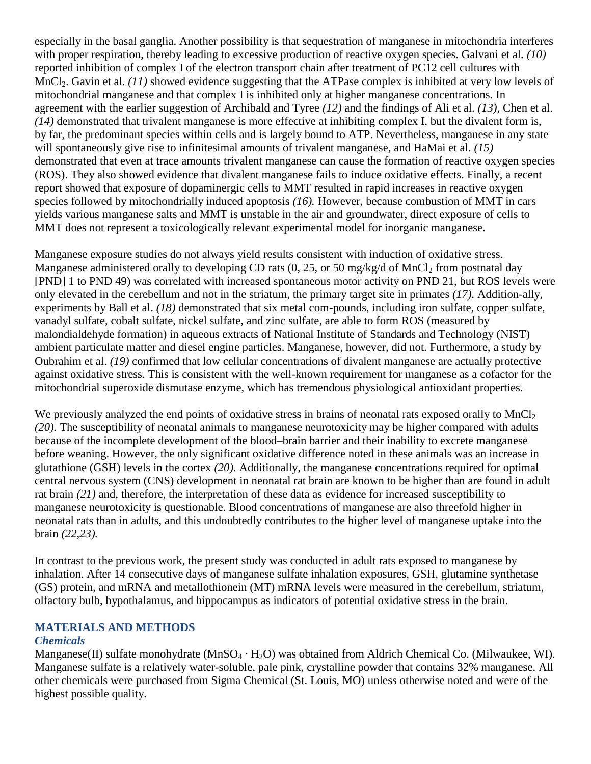especially in the basal ganglia. Another possibility is that sequestration of manganese in mitochondria interferes with proper respiration, thereby leading to excessive production of reactive oxygen species. Galvani et al. *(10)* reported inhibition of complex I of the electron transport chain after treatment of PC12 cell cultures with MnCl<sub>2</sub>. Gavin et al. *(11)* showed evidence suggesting that the ATPase complex is inhibited at very low levels of mitochondrial manganese and that complex I is inhibited only at higher manganese concentrations. In agreement with the earlier suggestion of Archibald and Tyree *(12)* and the findings of Ali et al. *(13),* Chen et al. *(14)* demonstrated that trivalent manganese is more effective at inhibiting complex I, but the divalent form is, by far, the predominant species within cells and is largely bound to ATP. Nevertheless, manganese in any state will spontaneously give rise to infinitesimal amounts of trivalent manganese, and HaMai et al. *(15)* demonstrated that even at trace amounts trivalent manganese can cause the formation of reactive oxygen species (ROS). They also showed evidence that divalent manganese fails to induce oxidative effects. Finally, a recent report showed that exposure of dopaminergic cells to MMT resulted in rapid increases in reactive oxygen species followed by mitochondrially induced apoptosis *(16).* However, because combustion of MMT in cars yields various manganese salts and MMT is unstable in the air and groundwater, direct exposure of cells to MMT does not represent a toxicologically relevant experimental model for inorganic manganese.

Manganese exposure studies do not always yield results consistent with induction of oxidative stress. Manganese administered orally to developing CD rats  $(0, 25, 0.50 \text{ mg/kg/d of MnCl}_2 \text{ from postnatal day})$ [PND] 1 to PND 49) was correlated with increased spontaneous motor activity on PND 21, but ROS levels were only elevated in the cerebellum and not in the striatum, the primary target site in primates *(17).* Addition-ally, experiments by Ball et al. *(18)* demonstrated that six metal com-pounds, including iron sulfate, copper sulfate, vanadyl sulfate, cobalt sulfate, nickel sulfate, and zinc sulfate, are able to form ROS (measured by malondialdehyde formation) in aqueous extracts of National Institute of Standards and Technology (NIST) ambient particulate matter and diesel engine particles. Manganese, however, did not. Furthermore, a study by Oubrahim et al. *(19)* confirmed that low cellular concentrations of divalent manganese are actually protective against oxidative stress. This is consistent with the well-known requirement for manganese as a cofactor for the mitochondrial superoxide dismutase enzyme, which has tremendous physiological antioxidant properties.

We previously analyzed the end points of oxidative stress in brains of neonatal rats exposed orally to  $MnCl<sub>2</sub>$ *(20).* The susceptibility of neonatal animals to manganese neurotoxicity may be higher compared with adults because of the incomplete development of the blood–brain barrier and their inability to excrete manganese before weaning. However, the only significant oxidative difference noted in these animals was an increase in glutathione (GSH) levels in the cortex *(20).* Additionally, the manganese concentrations required for optimal central nervous system (CNS) development in neonatal rat brain are known to be higher than are found in adult rat brain *(21)* and, therefore, the interpretation of these data as evidence for increased susceptibility to manganese neurotoxicity is questionable. Blood concentrations of manganese are also threefold higher in neonatal rats than in adults, and this undoubtedly contributes to the higher level of manganese uptake into the brain *(22,23).*

In contrast to the previous work, the present study was conducted in adult rats exposed to manganese by inhalation. After 14 consecutive days of manganese sulfate inhalation exposures, GSH, glutamine synthetase (GS) protein, and mRNA and metallothionein (MT) mRNA levels were measured in the cerebellum, striatum, olfactory bulb, hypothalamus, and hippocampus as indicators of potential oxidative stress in the brain.

#### **MATERIALS AND METHODS**

### *Chemicals*

Manganese(II) sulfate monohydrate (MnSO<sub>4</sub>  $\cdot$  H<sub>2</sub>O) was obtained from Aldrich Chemical Co. (Milwaukee, WI). Manganese sulfate is a relatively water-soluble, pale pink, crystalline powder that contains 32% manganese. All other chemicals were purchased from Sigma Chemical (St. Louis, MO) unless otherwise noted and were of the highest possible quality.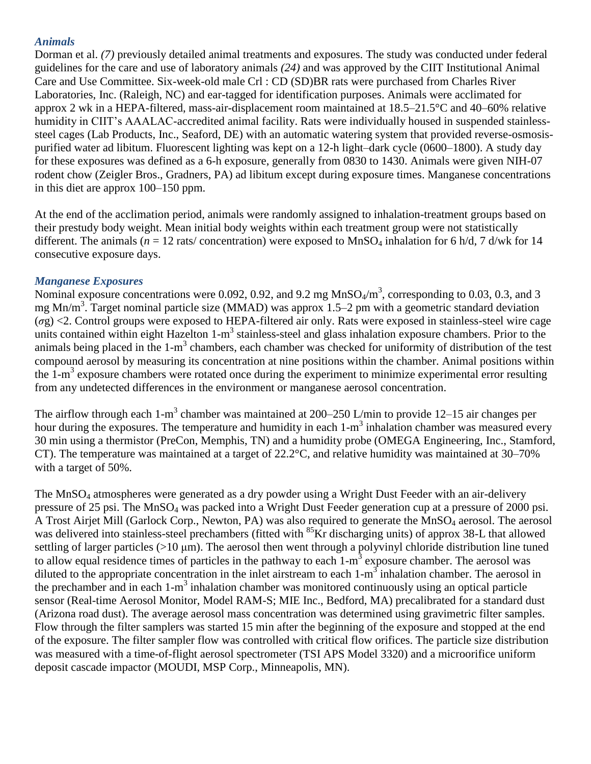### *Animals*

Dorman et al. *(7)* previously detailed animal treatments and exposures. The study was conducted under federal guidelines for the care and use of laboratory animals *(24)* and was approved by the CIIT Institutional Animal Care and Use Committee. Six-week-old male Crl : CD (SD)BR rats were purchased from Charles River Laboratories, Inc. (Raleigh, NC) and ear-tagged for identification purposes. Animals were acclimated for approx 2 wk in a HEPA-filtered, mass-air-displacement room maintained at 18.5–21.5°C and 40–60% relative humidity in CIIT's AAALAC-accredited animal facility. Rats were individually housed in suspended stainlesssteel cages (Lab Products, Inc., Seaford, DE) with an automatic watering system that provided reverse-osmosispurified water ad libitum. Fluorescent lighting was kept on a 12-h light–dark cycle (0600–1800). A study day for these exposures was defined as a 6-h exposure, generally from 0830 to 1430. Animals were given NIH-07 rodent chow (Zeigler Bros., Gradners, PA) ad libitum except during exposure times. Manganese concentrations in this diet are approx 100–150 ppm.

At the end of the acclimation period, animals were randomly assigned to inhalation-treatment groups based on their prestudy body weight. Mean initial body weights within each treatment group were not statistically different. The animals ( $n = 12$  rats/ concentration) were exposed to MnSO<sub>4</sub> inhalation for 6 h/d, 7 d/wk for 14 consecutive exposure days.

#### *Manganese Exposures*

Nominal exposure concentrations were 0.092, 0.92, and 9.2 mg  $MnSO<sub>4</sub>/m<sup>3</sup>$ , corresponding to 0.03, 0.3, and 3 mg Mn/m<sup>3</sup>. Target nominal particle size (MMAD) was approx 1.5–2 pm with a geometric standard deviation (*σ*g) <2. Control groups were exposed to HEPA-filtered air only. Rats were exposed in stainless-steel wire cage units contained within eight Hazelton 1-m<sup>3</sup> stainless-steel and glass inhalation exposure chambers. Prior to the animals being placed in the  $1-m<sup>3</sup>$  chambers, each chamber was checked for uniformity of distribution of the test compound aerosol by measuring its concentration at nine positions within the chamber. Animal positions within the 1-m<sup>3</sup> exposure chambers were rotated once during the experiment to minimize experimental error resulting from any undetected differences in the environment or manganese aerosol concentration.

The airflow through each  $1-m^3$  chamber was maintained at 200–250 L/min to provide 12–15 air changes per hour during the exposures. The temperature and humidity in each 1-m<sup>3</sup> inhalation chamber was measured every 30 min using a thermistor (PreCon, Memphis, TN) and a humidity probe (OMEGA Engineering, Inc., Stamford, CT). The temperature was maintained at a target of 22.2°C, and relative humidity was maintained at 30–70% with a target of 50%.

The MnSO<sub>4</sub> atmospheres were generated as a dry powder using a Wright Dust Feeder with an air-delivery pressure of 25 psi. The MnSO<sup>4</sup> was packed into a Wright Dust Feeder generation cup at a pressure of 2000 psi. A Trost Airjet Mill (Garlock Corp., Newton, PA) was also required to generate the MnSO<sub>4</sub> aerosol. The aerosol was delivered into stainless-steel prechambers (fitted with <sup>85</sup>Kr discharging units) of approx 38-L that allowed settling of larger particles (>10 μm). The aerosol then went through a polyvinyl chloride distribution line tuned to allow equal residence times of particles in the pathway to each  $1-m<sup>3</sup>$  exposure chamber. The aerosol was diluted to the appropriate concentration in the inlet airstream to each  $1-m<sup>3</sup>$  inhalation chamber. The aerosol in the prechamber and in each  $1-m<sup>3</sup>$  inhalation chamber was monitored continuously using an optical particle sensor (Real-time Aerosol Monitor, Model RAM-S; MIE Inc., Bedford, MA) precalibrated for a standard dust (Arizona road dust). The average aerosol mass concentration was determined using gravimetric filter samples. Flow through the filter samplers was started 15 min after the beginning of the exposure and stopped at the end of the exposure. The filter sampler flow was controlled with critical flow orifices. The particle size distribution was measured with a time-of-flight aerosol spectrometer (TSI APS Model 3320) and a microorifice uniform deposit cascade impactor (MOUDI, MSP Corp., Minneapolis, MN).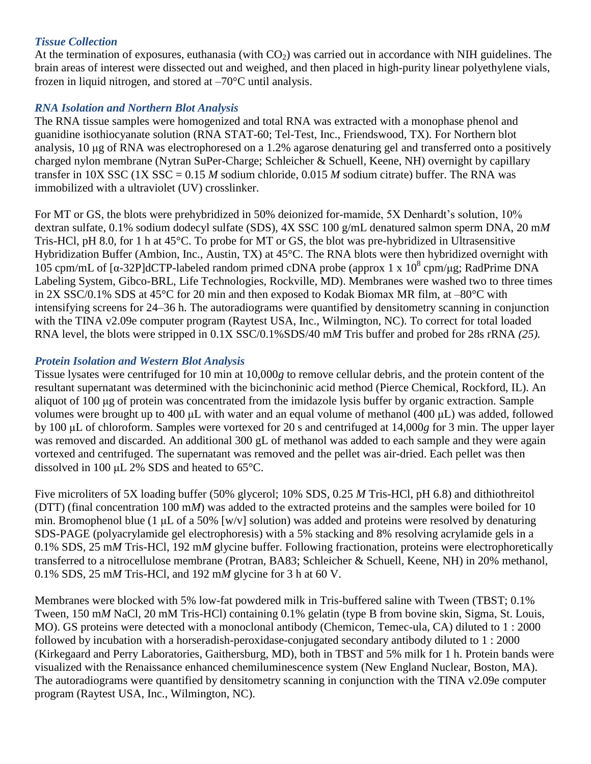### *Tissue Collection*

At the termination of exposures, euthanasia (with  $CO<sub>2</sub>$ ) was carried out in accordance with NIH guidelines. The brain areas of interest were dissected out and weighed, and then placed in high-purity linear polyethylene vials, frozen in liquid nitrogen, and stored at –70°C until analysis.

## *RNA Isolation and Northern Blot Analysis*

The RNA tissue samples were homogenized and total RNA was extracted with a monophase phenol and guanidine isothiocyanate solution (RNA STAT-60; Tel-Test, Inc., Friendswood, TX). For Northern blot analysis, 10 μg of RNA was electrophoresed on a 1.2% agarose denaturing gel and transferred onto a positively charged nylon membrane (Nytran SuPer-Charge; Schleicher & Schuell, Keene, NH) overnight by capillary transfer in 10X SSC (1X SSC = 0.15 *M* sodium chloride, 0.015 *M* sodium citrate) buffer. The RNA was immobilized with a ultraviolet (UV) crosslinker.

For MT or GS, the blots were prehybridized in 50% deionized for-mamide, 5X Denhardt's solution, 10% dextran sulfate, 0.1% sodium dodecyl sulfate (SDS), 4X SSC 100 g/mL denatured salmon sperm DNA, 20 m*M* Tris-HCl, pH 8.0, for 1 h at 45°C. To probe for MT or GS, the blot was pre-hybridized in Ultrasensitive Hybridization Buffer (Ambion, Inc., Austin, TX) at 45°C. The RNA blots were then hybridized overnight with 105 cpm/mL of [α-32P]dCTP-labeled random primed cDNA probe (approx 1 x  $10^8$  cpm/μg; RadPrime DNA Labeling System, Gibco-BRL, Life Technologies, Rockville, MD). Membranes were washed two to three times in 2X SSC/0.1% SDS at  $45^{\circ}$ C for 20 min and then exposed to Kodak Biomax MR film, at  $-80^{\circ}$ C with intensifying screens for 24–36 h. The autoradiograms were quantified by densitometry scanning in conjunction with the TINA v2.09e computer program (Raytest USA, Inc., Wilmington, NC). To correct for total loaded RNA level, the blots were stripped in 0.1X SSC/0.1%SDS/40 m*M* Tris buffer and probed for 28s rRNA *(25).*

## *Protein Isolation and Western Blot Analysis*

Tissue lysates were centrifuged for 10 min at 10,000*g* to remove cellular debris, and the protein content of the resultant supernatant was determined with the bicinchoninic acid method (Pierce Chemical, Rockford, IL). An aliquot of 100 μg of protein was concentrated from the imidazole lysis buffer by organic extraction. Sample volumes were brought up to 400 μL with water and an equal volume of methanol (400 μL) was added, followed by 100 μL of chloroform. Samples were vortexed for 20 s and centrifuged at 14,000*g* for 3 min. The upper layer was removed and discarded. An additional 300 gL of methanol was added to each sample and they were again vortexed and centrifuged. The supernatant was removed and the pellet was air-dried. Each pellet was then dissolved in 100 μL 2% SDS and heated to 65°C.

Five microliters of 5X loading buffer (50% glycerol; 10% SDS, 0.25 *M* Tris-HCl, pH 6.8) and dithiothreitol (DTT) (final concentration 100 m*M*) was added to the extracted proteins and the samples were boiled for 10 min. Bromophenol blue (1 μL of a 50% [w/v] solution) was added and proteins were resolved by denaturing SDS-PAGE (polyacrylamide gel electrophoresis) with a 5% stacking and 8% resolving acrylamide gels in a 0.1% SDS, 25 m*M* Tris-HCl, 192 m*M* glycine buffer. Following fractionation, proteins were electrophoretically transferred to a nitrocellulose membrane (Protran, BA83; Schleicher & Schuell, Keene, NH) in 20% methanol, 0.1% SDS, 25 m*M* Tris-HCl, and 192 m*M* glycine for 3 h at 60 V.

Membranes were blocked with 5% low-fat powdered milk in Tris-buffered saline with Tween (TBST; 0.1% Tween, 150 m*M* NaCl, 20 mM Tris-HCl) containing 0.1% gelatin (type B from bovine skin, Sigma, St. Louis, MO). GS proteins were detected with a monoclonal antibody (Chemicon, Temec-ula, CA) diluted to 1 : 2000 followed by incubation with a horseradish-peroxidase-conjugated secondary antibody diluted to 1 : 2000 (Kirkegaard and Perry Laboratories, Gaithersburg, MD), both in TBST and 5% milk for 1 h. Protein bands were visualized with the Renaissance enhanced chemiluminescence system (New England Nuclear, Boston, MA). The autoradiograms were quantified by densitometry scanning in conjunction with the TINA v2.09e computer program (Raytest USA, Inc., Wilmington, NC).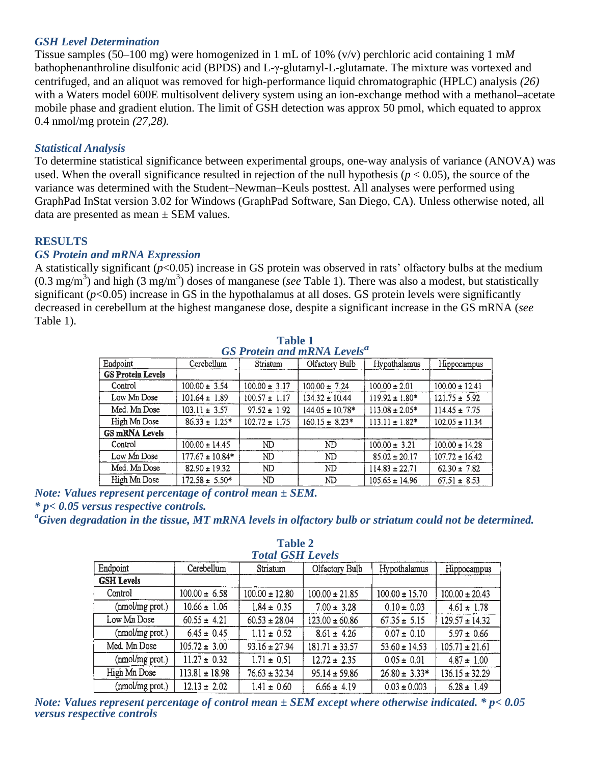#### *GSH Level Determination*

Tissue samples (50–100 mg) were homogenized in 1 mL of 10% (v/v) perchloric acid containing 1 m*M* bathophenanthroline disulfonic acid (BPDS) and L-γ-glutamyl-L-glutamate. The mixture was vortexed and centrifuged, and an aliquot was removed for high-performance liquid chromatographic (HPLC) analysis *(26)* with a Waters model 600E multisolvent delivery system using an ion-exchange method with a methanol–acetate mobile phase and gradient elution. The limit of GSH detection was approx 50 pmol, which equated to approx 0.4 nmol/mg protein *(27,28).*

#### *Statistical Analysis*

To determine statistical significance between experimental groups, one-way analysis of variance (ANOVA) was used. When the overall significance resulted in rejection of the null hypothesis ( $p < 0.05$ ), the source of the variance was determined with the Student–Newman–Keuls posttest. All analyses were performed using GraphPad InStat version 3.02 for Windows (GraphPad Software, San Diego, CA). Unless otherwise noted, all data are presented as mean  $\pm$  SEM values.

### **RESULTS**

#### *GS Protein and mRNA Expression*

A statistically significant (*p*<0.05) increase in GS protein was observed in rats' olfactory bulbs at the medium (0.3 mg/m<sup>3</sup> ) and high (3 mg/m<sup>3</sup> ) doses of manganese (*see* Table 1). There was also a modest, but statistically significant  $(p<0.05)$  increase in GS in the hypothalamus at all doses. GS protein levels were significantly decreased in cerebellum at the highest manganese dose, despite a significant increase in the GS mRNA (*see* Table 1).

| <b>GO Protein and MKNA Levels</b> |                     |                   |                     |                     |                    |  |  |  |
|-----------------------------------|---------------------|-------------------|---------------------|---------------------|--------------------|--|--|--|
| Endpoint                          | Cerebellum          | Striatum          | Olfactory Bulb      | Hypothalamus        | Hippocampus        |  |  |  |
| <b>GS Protein Levels</b>          |                     |                   |                     |                     |                    |  |  |  |
| Control                           | $100.00 \pm 3.54$   | $100.00 \pm 3.17$ | $100.00 \pm 7.24$   | $100.00 \pm 2.01$   | $100.00 \pm 12.41$ |  |  |  |
| Low Mn Dose                       | $101.64 \pm 1.89$   | $100.57 \pm 1.17$ | $134.32 \pm 10.44$  | $119.92 \pm 1.80*$  | $121.75 \pm 5.92$  |  |  |  |
| Med. Mn Dose                      | $103.11 \pm 3.57$   | $97.52 \pm 1.92$  | $144.05 \pm 10.78*$ | $113.08 \pm 2.05*$  | $114.45 \pm 7.75$  |  |  |  |
| High Mn Dose                      | $86.33 \pm 1.25$ *  | $102.72 \pm 1.75$ | $160.15 \pm 8.23*$  | $113.11 \pm 1.82$ * | $102.05 \pm 11.34$ |  |  |  |
| <b>GS mRNA Levels</b>             |                     |                   |                     |                     |                    |  |  |  |
| Control                           | $100.00 \pm 14.45$  | ND                | ND                  | $100.00 \pm 3.21$   | $100.00 \pm 14.28$ |  |  |  |
| Low Mn Dose                       | $177.67 \pm 10.84*$ | ND                | ND                  | $85.02 \pm 20.17$   | $107.72 \pm 16.42$ |  |  |  |
| Med. Mn Dose                      | $82.90 \pm 19.32$   | ND.               | ND                  | $114.83 \pm 22.71$  | $62.30 \pm 7.82$   |  |  |  |
| High Mn Dose                      | $172.58 \pm 5.50*$  | ND                | ND                  | $105.65 \pm 14.96$  | $67.51 \pm 8.53$   |  |  |  |

**Table 1** *GS Protein and mRNA Levels<sup>a</sup>*

*Note: Values represent percentage of control mean ± SEM. \* p< 0.05 versus respective controls.*

*<sup>a</sup>Given degradation in the tissue, MT mRNA levels in olfactory bulb or striatum could not be determined.*

| <b>Total GSH Levels</b> |                    |                    |                    |                    |                    |  |  |  |
|-------------------------|--------------------|--------------------|--------------------|--------------------|--------------------|--|--|--|
| Endpoint                | Cerebellum         | Striatum           | Olfactory Bulb     | Hypothalamus       | Hippocampus        |  |  |  |
| <b>GSH Levels</b>       |                    |                    |                    |                    |                    |  |  |  |
| Control                 | $100.00 \pm 6.58$  | $100.00 \pm 12.80$ | $100.00 \pm 21.85$ | $100.00 \pm 15.70$ | $100.00 \pm 20.43$ |  |  |  |
| (nmol/mg prot.)         | $10.66 \pm 1.06$   | $1.84 \pm 0.35$    | $7.00 \pm 3.28$    | $0.10 \pm 0.03$    | $4.61 \pm 1.78$    |  |  |  |
| Low Mn Dose             | $60.55 \pm 4.21$   | $60.53 \pm 28.04$  | $123.00 \pm 60.86$ | $67.35 \pm 5.15$   | $129.57 \pm 14.32$ |  |  |  |
| (nmol/mg prot.)         | $6.45 \pm 0.45$    | $1.11 \pm 0.52$    | $8.61 \pm 4.26$    | $0.07 \pm 0.10$    | $5.97 \pm 0.66$    |  |  |  |
| Med. Mn Dose            | $105.72 \pm 3.00$  | $93.16 \pm 27.94$  | $181.71 \pm 33.57$ | $53.60 \pm 14.53$  | $105.71 \pm 21.61$ |  |  |  |
| (nmol/mg prot.)         | $11.27 \pm 0.32$   | $1.71 \pm 0.51$    | $12.72 \pm 2.35$   | $0.05 \pm 0.01$    | $4.87 \pm 1.00$    |  |  |  |
| High Mn Dose            | $113.81 \pm 18.98$ | $76.63 \pm 32.34$  | $95.14 \pm 59.86$  | $26.80 \pm 3.33*$  | $136.15 \pm 32.29$ |  |  |  |
| (nmol/mg prot.)         | $12.13 \pm 2.02$   | $1.41 \pm 0.60$    | $6.66 \pm 4.19$    | $0.03 \pm 0.003$   | $6.28 \pm 1.49$    |  |  |  |

**Table 2** *Total GSH Levels*

*Note: Values represent percentage of control mean ± SEM except where otherwise indicated. \* p< 0.05 versus respective controls*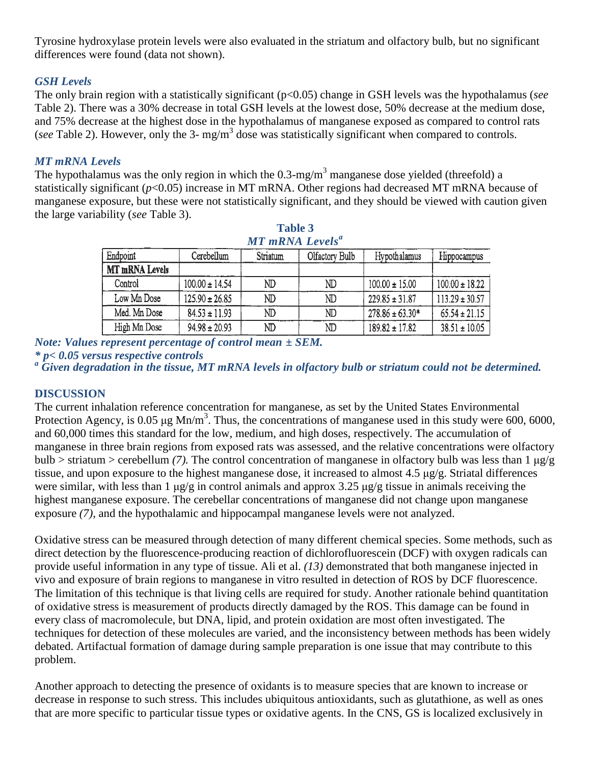Tyrosine hydroxylase protein levels were also evaluated in the striatum and olfactory bulb, but no significant differences were found (data not shown).

## *GSH Levels*

The only brain region with a statistically significant (p<0.05) change in GSH levels was the hypothalamus (*see* Table 2). There was a 30% decrease in total GSH levels at the lowest dose, 50% decrease at the medium dose, and 75% decrease at the highest dose in the hypothalamus of manganese exposed as compared to control rats (see Table 2). However, only the 3- mg/m<sup>3</sup> dose was statistically significant when compared to controls.

## *MT mRNA Levels*

The hypothalamus was the only region in which the  $0.3 \text{-mg/m}^3$  manganese dose yielded (threefold) a statistically significant (*p*<0.05) increase in MT mRNA. Other regions had decreased MT mRNA because of manganese exposure, but these were not statistically significant, and they should be viewed with caution given the large variability (*see* Table 3).

| <b>Table 3</b><br><b>MT</b> mRNA Levels <sup>a</sup> |                    |          |                |                     |                    |  |  |  |
|------------------------------------------------------|--------------------|----------|----------------|---------------------|--------------------|--|--|--|
| Endpoint                                             | Cerebellum         | Striatum | Olfactory Bulb | Hypothalamus        | Hippocampus        |  |  |  |
| MT mRNA Levels                                       |                    |          |                |                     |                    |  |  |  |
| Control                                              | $100.00 \pm 14.54$ | ND       | ND             | $100.00 \pm 15.00$  | $100.00 \pm 18.22$ |  |  |  |
| Low Mn Dose                                          | $125.90 \pm 26.85$ | ND       | ND             | $229.85 \pm 31.87$  | $113.29 \pm 30.57$ |  |  |  |
| Med. Mn Dose                                         | $84.53 \pm 11.93$  | ND       | ND             | $278.86 \pm 63.30*$ | $65.54 \pm 21.15$  |  |  |  |
| High Mn Dose                                         | $94.98 \pm 20.93$  | ND       | ND             | $189.82 \pm 17.82$  | $38.51 \pm 10.05$  |  |  |  |

*Note: Values represent percentage of control mean ± SEM.*

*\* p< 0.05 versus respective controls*

*<sup>a</sup> Given degradation in the tissue, MT mRNA levels in olfactory bulb or striatum could not be determined.*

### **DISCUSSION**

The current inhalation reference concentration for manganese, as set by the United States Environmental Protection Agency, is 0.05  $\mu$ g Mn/m<sup>3</sup>. Thus, the concentrations of manganese used in this study were 600, 6000, and 60,000 times this standard for the low, medium, and high doses, respectively. The accumulation of manganese in three brain regions from exposed rats was assessed, and the relative concentrations were olfactory bulb > striatum > cerebellum *(7).* The control concentration of manganese in olfactory bulb was less than 1 μg/g tissue, and upon exposure to the highest manganese dose, it increased to almost 4.5 μg/g. Striatal differences were similar, with less than 1 μg/g in control animals and approx 3.25 μg/g tissue in animals receiving the highest manganese exposure. The cerebellar concentrations of manganese did not change upon manganese exposure *(7),* and the hypothalamic and hippocampal manganese levels were not analyzed.

Oxidative stress can be measured through detection of many different chemical species. Some methods, such as direct detection by the fluorescence-producing reaction of dichlorofluorescein (DCF) with oxygen radicals can provide useful information in any type of tissue. Ali et al. *(13)* demonstrated that both manganese injected in vivo and exposure of brain regions to manganese in vitro resulted in detection of ROS by DCF fluorescence. The limitation of this technique is that living cells are required for study. Another rationale behind quantitation of oxidative stress is measurement of products directly damaged by the ROS. This damage can be found in every class of macromolecule, but DNA, lipid, and protein oxidation are most often investigated. The techniques for detection of these molecules are varied, and the inconsistency between methods has been widely debated. Artifactual formation of damage during sample preparation is one issue that may contribute to this problem.

Another approach to detecting the presence of oxidants is to measure species that are known to increase or decrease in response to such stress. This includes ubiquitous antioxidants, such as glutathione, as well as ones that are more specific to particular tissue types or oxidative agents. In the CNS, GS is localized exclusively in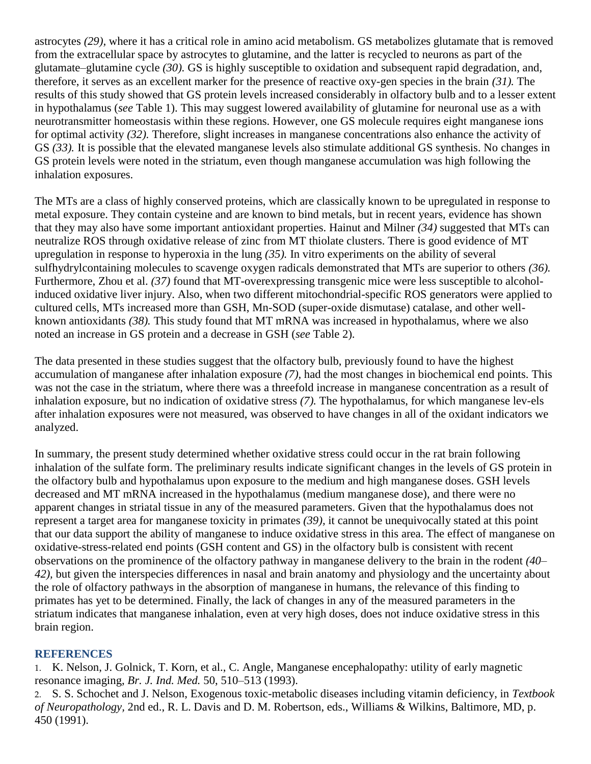astrocytes *(29),* where it has a critical role in amino acid metabolism. GS metabolizes glutamate that is removed from the extracellular space by astrocytes to glutamine, and the latter is recycled to neurons as part of the glutamate–glutamine cycle *(30).* GS is highly susceptible to oxidation and subsequent rapid degradation, and, therefore, it serves as an excellent marker for the presence of reactive oxy-gen species in the brain *(31).* The results of this study showed that GS protein levels increased considerably in olfactory bulb and to a lesser extent in hypothalamus (*see* Table 1). This may suggest lowered availability of glutamine for neuronal use as a with neurotransmitter homeostasis within these regions. However, one GS molecule requires eight manganese ions for optimal activity *(32).* Therefore, slight increases in manganese concentrations also enhance the activity of GS *(33).* It is possible that the elevated manganese levels also stimulate additional GS synthesis. No changes in GS protein levels were noted in the striatum, even though manganese accumulation was high following the inhalation exposures.

The MTs are a class of highly conserved proteins, which are classically known to be upregulated in response to metal exposure. They contain cysteine and are known to bind metals, but in recent years, evidence has shown that they may also have some important antioxidant properties. Hainut and Milner *(34)* suggested that MTs can neutralize ROS through oxidative release of zinc from MT thiolate clusters. There is good evidence of MT upregulation in response to hyperoxia in the lung *(35).* In vitro experiments on the ability of several sulfhydrylcontaining molecules to scavenge oxygen radicals demonstrated that MTs are superior to others *(36).* Furthermore, Zhou et al. *(37)* found that MT-overexpressing transgenic mice were less susceptible to alcoholinduced oxidative liver injury. Also, when two different mitochondrial-specific ROS generators were applied to cultured cells, MTs increased more than GSH, Mn-SOD (super-oxide dismutase) catalase, and other wellknown antioxidants *(38).* This study found that MT mRNA was increased in hypothalamus, where we also noted an increase in GS protein and a decrease in GSH (*see* Table 2).

The data presented in these studies suggest that the olfactory bulb, previously found to have the highest accumulation of manganese after inhalation exposure *(7),* had the most changes in biochemical end points. This was not the case in the striatum, where there was a threefold increase in manganese concentration as a result of inhalation exposure, but no indication of oxidative stress *(7).* The hypothalamus, for which manganese lev-els after inhalation exposures were not measured, was observed to have changes in all of the oxidant indicators we analyzed.

In summary, the present study determined whether oxidative stress could occur in the rat brain following inhalation of the sulfate form. The preliminary results indicate significant changes in the levels of GS protein in the olfactory bulb and hypothalamus upon exposure to the medium and high manganese doses. GSH levels decreased and MT mRNA increased in the hypothalamus (medium manganese dose), and there were no apparent changes in striatal tissue in any of the measured parameters. Given that the hypothalamus does not represent a target area for manganese toxicity in primates *(39),* it cannot be unequivocally stated at this point that our data support the ability of manganese to induce oxidative stress in this area. The effect of manganese on oxidative-stress-related end points (GSH content and GS) in the olfactory bulb is consistent with recent observations on the prominence of the olfactory pathway in manganese delivery to the brain in the rodent *(40– 42),* but given the interspecies differences in nasal and brain anatomy and physiology and the uncertainty about the role of olfactory pathways in the absorption of manganese in humans, the relevance of this finding to primates has yet to be determined. Finally, the lack of changes in any of the measured parameters in the striatum indicates that manganese inhalation, even at very high doses, does not induce oxidative stress in this brain region.

### **REFERENCES**

1. K. Nelson, J. Golnick, T. Korn, et al., C. Angle, Manganese encephalopathy: utility of early magnetic resonance imaging, *Br. J. Ind. Med.* 50, 510–513 (1993).

2. S. S. Schochet and J. Nelson, Exogenous toxic-metabolic diseases including vitamin deficiency, in *Textbook of Neuropathology,* 2nd ed., R. L. Davis and D. M. Robertson, eds., Williams & Wilkins, Baltimore, MD, p. 450 (1991).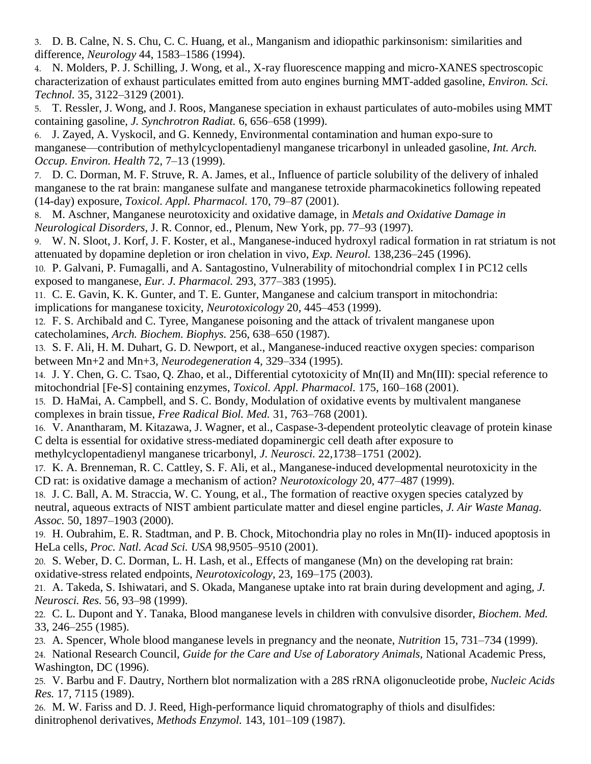3. D. B. Calne, N. S. Chu, C. C. Huang, et al., Manganism and idiopathic parkinsonism: similarities and difference, *Neurology* 44, 1583–1586 (1994).

4. N. Molders, P. J. Schilling, J. Wong, et al., X-ray fluorescence mapping and micro-XANES spectroscopic characterization of exhaust particulates emitted from auto engines burning MMT-added gasoline, *Environ. Sci. Technol.* 35, 3122–3129 (2001).

5. T. Ressler, J. Wong, and J. Roos, Manganese speciation in exhaust particulates of auto-mobiles using MMT containing gasoline, *J. Synchrotron Radiat.* 6, 656–658 (1999).

6. J. Zayed, A. Vyskocil, and G. Kennedy, Environmental contamination and human expo-sure to manganese—contribution of methylcyclopentadienyl manganese tricarbonyl in unleaded gasoline, *Int. Arch. Occup. Environ. Health* 72, 7–13 (1999).

7. D. C. Dorman, M. F. Struve, R. A. James, et al., Influence of particle solubility of the delivery of inhaled manganese to the rat brain: manganese sulfate and manganese tetroxide pharmacokinetics following repeated (14-day) exposure, *Toxicol. Appl. Pharmacol.* 170, 79–87 (2001).

8. M. Aschner, Manganese neurotoxicity and oxidative damage, in *Metals and Oxidative Damage in Neurological Disorders,* J. R. Connor, ed., Plenum, New York, pp. 77–93 (1997).

9. W. N. Sloot, J. Korf, J. F. Koster, et al., Manganese-induced hydroxyl radical formation in rat striatum is not attenuated by dopamine depletion or iron chelation in vivo, *Exp. Neurol.* 138,236–245 (1996).

10. P. Galvani, P. Fumagalli, and A. Santagostino, Vulnerability of mitochondrial complex I in PC12 cells exposed to manganese, *Eur. J. Pharmacol.* 293, 377–383 (1995).

11. C. E. Gavin, K. K. Gunter, and T. E. Gunter, Manganese and calcium transport in mitochondria: implications for manganese toxicity, *Neurotoxicology* 20, 445–453 (1999).

12. F. S. Archibald and C. Tyree, Manganese poisoning and the attack of trivalent manganese upon catecholamines, *Arch. Biochem. Biophys.* 256, 638–650 (1987).

13. S. F. Ali, H. M. Duhart, G. D. Newport, et al., Manganese-induced reactive oxygen species: comparison between Mn+2 and Mn+3, *Neurodegeneration* 4, 329–334 (1995).

14. J. Y. Chen, G. C. Tsao, Q. Zhao, et al., Differential cytotoxicity of Mn(II) and Mn(III): special reference to mitochondrial [Fe-S] containing enzymes, *Toxicol. Appl. Pharmacol.* 175, 160–168 (2001).

15. D. HaMai, A. Campbell, and S. C. Bondy, Modulation of oxidative events by multivalent manganese complexes in brain tissue, *Free Radical Biol. Med.* 31, 763–768 (2001).

16. V. Anantharam, M. Kitazawa, J. Wagner, et al., Caspase-3-dependent proteolytic cleavage of protein kinase C delta is essential for oxidative stress-mediated dopaminergic cell death after exposure to

methylcyclopentadienyl manganese tricarbonyl, *J. Neurosci.* 22,1738–1751 (2002).

17. K. A. Brenneman, R. C. Cattley, S. F. Ali, et al., Manganese-induced developmental neurotoxicity in the CD rat: is oxidative damage a mechanism of action? *Neurotoxicology* 20, 477–487 (1999).

18. J. C. Ball, A. M. Straccia, W. C. Young, et al., The formation of reactive oxygen species catalyzed by neutral, aqueous extracts of NIST ambient particulate matter and diesel engine particles, *J. Air Waste Manag. Assoc.* 50, 1897–1903 (2000).

19. H. Oubrahim, E. R. Stadtman, and P. B. Chock, Mitochondria play no roles in Mn(II)- induced apoptosis in HeLa cells, *Proc. Natl. Acad Sci. USA* 98,9505–9510 (2001).

20. S. Weber, D. C. Dorman, L. H. Lash, et al., Effects of manganese (Mn) on the developing rat brain: oxidative-stress related endpoints, *Neurotoxicology,* 23, 169–175 (2003).

21. A. Takeda, S. Ishiwatari, and S. Okada, Manganese uptake into rat brain during development and aging, *J. Neurosci. Res.* 56, 93–98 (1999).

22. C. L. Dupont and Y. Tanaka, Blood manganese levels in children with convulsive disorder, *Biochem. Med.* 33, 246–255 (1985).

23. A. Spencer, Whole blood manganese levels in pregnancy and the neonate, *Nutrition* 15, 731–734 (1999).

24. National Research Council, *Guide for the Care and Use of Laboratory Animals,* National Academic Press, Washington, DC (1996).

25. V. Barbu and F. Dautry, Northern blot normalization with a 28S rRNA oligonucleotide probe, *Nucleic Acids Res.* 17, 7115 (1989).

26. M. W. Fariss and D. J. Reed, High-performance liquid chromatography of thiols and disulfides: dinitrophenol derivatives, *Methods Enzymol.* 143, 101–109 (1987).